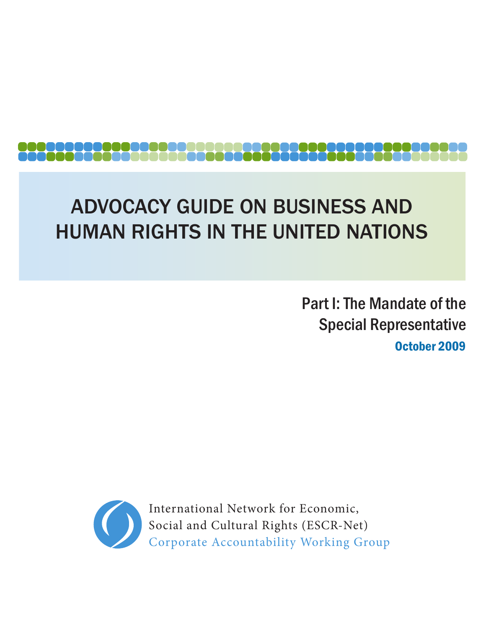# ADVOCACY GUIDE ON BUSINESS AND HUMAN RIGHTS IN THE UNITED NATIONS

October 2009 Part I: The Mandate of the Special Representative



International Network for Economic, Social and Cultural Rights (ESCR-Net) Corporate Accountability Working Group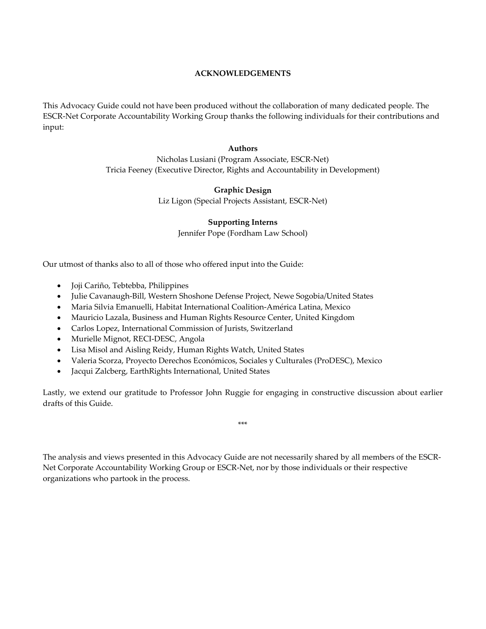#### **ACKNOWLEDGEMENTS**

This Advocacy Guide could not have been produced without the collaboration of many dedicated people. The ESCR‐Net Corporate Accountability Working Group thanks the following individuals for their contributions and input:

#### **Authors**

Nicholas Lusiani (Program Associate, ESCR‐Net) Tricia Feeney (Executive Director, Rights and Accountability in Development)

#### **Graphic Design**

Liz Ligon (Special Projects Assistant, ESCR‐Net)

#### **Supporting Interns**

Jennifer Pope (Fordham Law School)

Our utmost of thanks also to all of those who offered input into the Guide:

- Joji Cariño, Tebtebba, Philippines
- Julie Cavanaugh‐Bill, Western Shoshone Defense Project, Newe Sogobia/United States
- Maria Silvia Emanuelli, Habitat International Coalition‐América Latina, Mexico
- Mauricio Lazala, Business and Human Rights Resource Center, United Kingdom
- Carlos Lopez, International Commission of Jurists, Switzerland
- Murielle Mignot, RECI-DESC, Angola
- Lisa Misol and Aisling Reidy, Human Rights Watch, United States
- Valeria Scorza, Proyecto Derechos Económicos, Sociales y Culturales (ProDESC), Mexico
- Jacqui Zalcberg, EarthRights International, United States

Lastly, we extend our gratitude to Professor John Ruggie for engaging in constructive discussion about earlier drafts of this Guide.

\*\*\*

The analysis and views presented in this Advocacy Guide are not necessarily shared by all members of the ESCR‐ Net Corporate Accountability Working Group or ESCR‐Net, nor by those individuals or their respective organizations who partook in the process.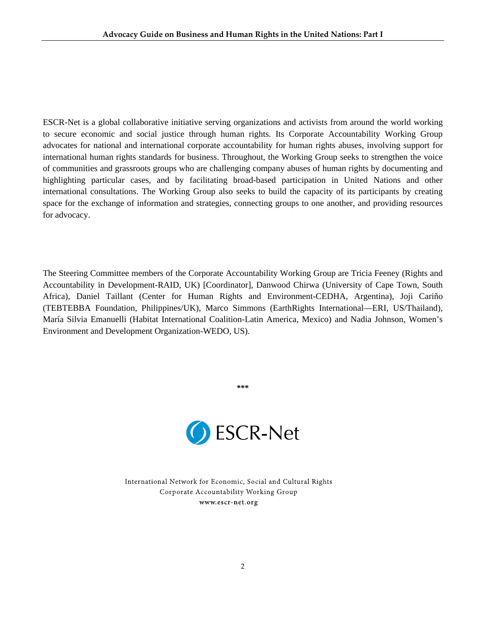ESCR-Net is a global collaborative initiative serving organizations and activists from around the world working to secure economic and social justice through human rights. Its Corporate Accountability Working Group advocates for national and international corporate accountability for human rights abuses, involving support for international human rights standards for business. Throughout, the Working Group seeks to strengthen the voice of communities and grassroots groups who are challenging company abuses of human rights by documenting and highlighting particular cases, and by facilitating broad-based participation in United Nations and other international consultations. The Working Group also seeks to build the capacity of its participants by creating space for the exchange of information and strategies, connecting groups to one another, and providing resources for advocacy.

The Steering Committee members of the Corporate Accountability Working Group are Tricia Feeney (Rights and Accountability in Development-RAID, UK) [Coordinator], Danwood Chirwa (University of Cape Town, South Africa), Daniel Taillant (Center for Human Rights and Environment-CEDHA, Argentina), Joji Cariño (TEBTEBBA Foundation, Philippines/UK), Marco Simmons (EarthRights International—ERI, US/Thailand), María Silvia Emanuelli (Habitat International Coalition-Latin America, Mexico) and Nadia Johnson, Women's Environment and Development Organization-WEDO, US).



**\*\*\*** 

International Network for Economic, Social and Cultural Rights Corporate Accountability Working Group www.escr-net.org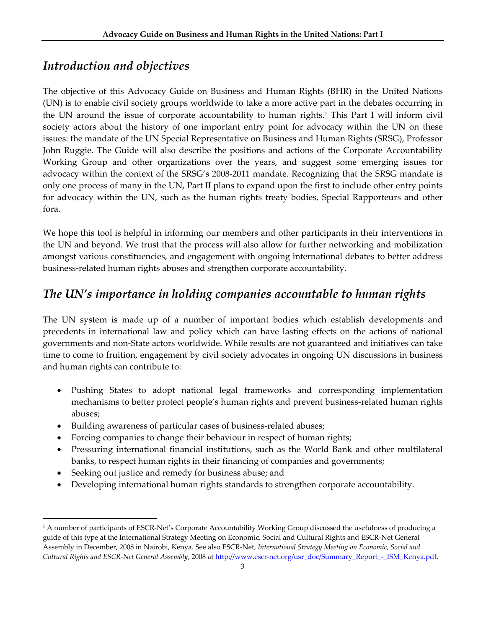# *Introduction and objectives*

The objective of this Advocacy Guide on Business and Human Rights (BHR) in the United Nations (UN) is to enable civil society groups worldwide to take a more active part in the debates occurring in the UN around the issue of corporate accountability to human rights.1 This Part I will inform civil society actors about the history of one important entry point for advocacy within the UN on these issues: the mandate of the UN Special Representative on Business and Human Rights (SRSG), Professor John Ruggie. The Guide will also describe the positions and actions of the Corporate Accountability Working Group and other organizations over the years, and suggest some emerging issues for advocacy within the context of the SRSG's 2008‐2011 mandate. Recognizing that the SRSG mandate is only one process of many in the UN, Part II plans to expand upon the first to include other entry points for advocacy within the UN, such as the human rights treaty bodies, Special Rapporteurs and other fora.

We hope this tool is helpful in informing our members and other participants in their interventions in the UN and beyond. We trust that the process will also allow for further networking and mobilization amongst various constituencies, and engagement with ongoing international debates to better address business‐related human rights abuses and strengthen corporate accountability.

# *The UN's importance in holding companies accountable to human rights*

The UN system is made up of a number of important bodies which establish developments and precedents in international law and policy which can have lasting effects on the actions of national governments and non‐State actors worldwide. While results are not guaranteed and initiatives can take time to come to fruition, engagement by civil society advocates in ongoing UN discussions in business and human rights can contribute to:

- Pushing States to adopt national legal frameworks and corresponding implementation mechanisms to better protect people's human rights and prevent business-related human rights abuses;
- Building awareness of particular cases of business-related abuses;
- Forcing companies to change their behaviour in respect of human rights;
- Pressuring international financial institutions, such as the World Bank and other multilateral banks, to respect human rights in their financing of companies and governments;
- Seeking out justice and remedy for business abuse; and

• Developing international human rights standards to strengthen corporate accountability.

<sup>&</sup>lt;sup>1</sup> A number of participants of ESCR-Net's Corporate Accountability Working Group discussed the usefulness of producing a guide of this type at the International Strategy Meeting on Economic, Social and Cultural Rights and ESCR‐Net General Assembly in December, 2008 in Nairobi, Kenya. See also ESCR‐Net, *International Strategy Meeting on Economic, Social and Cultural Rights and ESCR‐Net General Assembly*, 2008 at http://www.escr‐net.org/usr\_doc/Summary\_Report\_‐\_ISM\_Kenya.pdf.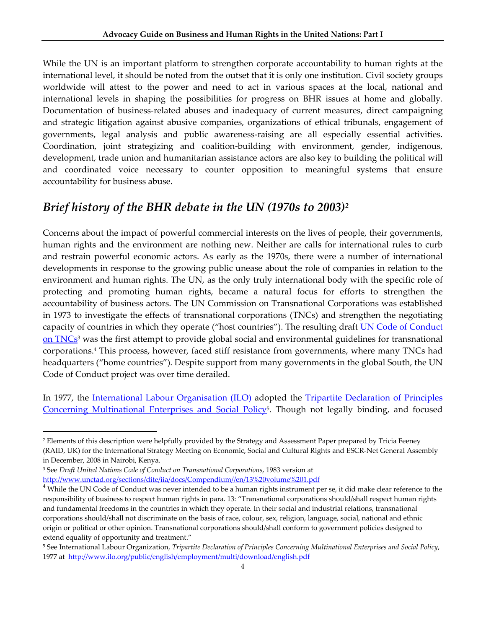While the UN is an important platform to strengthen corporate accountability to human rights at the international level, it should be noted from the outset that it is only one institution. Civil society groups worldwide will attest to the power and need to act in various spaces at the local, national and international levels in shaping the possibilities for progress on BHR issues at home and globally. Documentation of business-related abuses and inadequacy of current measures, direct campaigning and strategic litigation against abusive companies, organizations of ethical tribunals, engagement of governments, legal analysis and public awareness-raising are all especially essential activities. Coordination, joint strategizing and coalition‐building with environment, gender, indigenous, development, trade union and humanitarian assistance actors are also key to building the political will and coordinated voice necessary to counter opposition to meaningful systems that ensure accountability for business abuse.

# *Brief history of the BHR debate in the UN (1970s to 2003)2*

Concerns about the impact of powerful commercial interests on the lives of people, their governments, human rights and the environment are nothing new. Neither are calls for international rules to curb and restrain powerful economic actors. As early as the 1970s, there were a number of international developments in response to the growing public unease about the role of companies in relation to the environment and human rights. The UN, as the only truly international body with the specific role of protecting and promoting human rights, became a natural focus for efforts to strengthen the accountability of business actors. The UN Commission on Transnational Corporations was established in 1973 to investigate the effects of transnational corporations (TNCs) and strengthen the negotiating capacity of countries in which they operate ("host countries"). The resulting draft **UN Code of Conduct** on TNCs<sup>3</sup> was the first attempt to provide global social and environmental guidelines for transnational corporations.4 This process, however, faced stiff resistance from governments, where many TNCs had headquarters ("home countries"). Despite support from many governments in the global South, the UN Code of Conduct project was over time derailed.

In 1977, the <u>International Labour Organisation (ILO)</u> adopted the Tripartite Declaration of Principles Concerning Multinational Enterprises and Social Policy5. Though not legally binding, and focused

<sup>3</sup> See *Draft United Nations Code of Conduct on Transnational Corporations*, 1983 version at

<sup>2</sup> Elements of this description were helpfully provided by the Strategy and Assessment Paper prepared by Tricia Feeney (RAID, UK) for the International Strategy Meeting on Economic, Social and Cultural Rights and ESCR‐Net General Assembly in December, 2008 in Nairobi, Kenya.

http://www.unctad.org/sections/dite/iia/docs/Compendium//en/13%20volume%201.pdf<br><sup>4</sup> While the UN Code of Conduct was never intended to be a human rights instrument per se, it did make clear reference to the responsibility of business to respect human rights in para. 13: "Transnational corporations should/shall respect human rights and fundamental freedoms in the countries in which they operate. In their social and industrial relations, transnational corporations should/shall not discriminate on the basis of race, colour, sex, religion, language, social, national and ethnic origin or political or other opinion. Transnational corporations should/shall conform to government policies designed to extend equality of opportunity and treatment."

<sup>5</sup> See International Labour Organization, *Tripartite Declaration of Principles Concerning Multinational Enterprises and Social Policy*, 1977 at http://www.ilo.org/public/english/employment/multi/download/english.pdf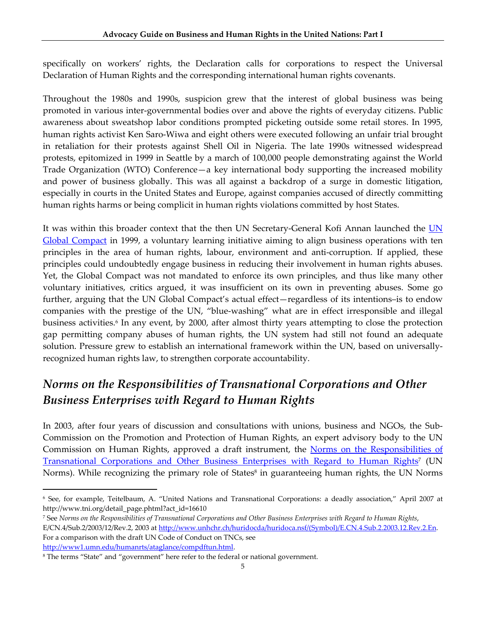specifically on workers' rights, the Declaration calls for corporations to respect the Universal Declaration of Human Rights and the corresponding international human rights covenants.

Throughout the 1980s and 1990s, suspicion grew that the interest of global business was being promoted in various inter‐governmental bodies over and above the rights of everyday citizens. Public awareness about sweatshop labor conditions prompted picketing outside some retail stores. In 1995, human rights activist Ken Saro‐Wiwa and eight others were executed following an unfair trial brought in retaliation for their protests against Shell Oil in Nigeria. The late 1990s witnessed widespread protests, epitomized in 1999 in Seattle by a march of 100,000 people demonstrating against the World Trade Organization (WTO) Conference—a key international body supporting the increased mobility and power of business globally. This was all against a backdrop of a surge in domestic litigation, especially in courts in the United States and Europe, against companies accused of directly committing human rights harms or being complicit in human rights violations committed by host States.

It was within this broader context that the then UN Secretary-General Kofi Annan launched the UN Global Compact in 1999, a voluntary learning initiative aiming to align business operations with ten principles in the area of human rights, labour, environment and anti‐corruption. If applied, these principles could undoubtedly engage business in reducing their involvement in human rights abuses. Yet, the Global Compact was not mandated to enforce its own principles, and thus like many other voluntary initiatives, critics argued, it was insufficient on its own in preventing abuses. Some go further, arguing that the UN Global Compact's actual effect—regardless of its intentions–is to endow companies with the prestige of the UN, "blue‐washing" what are in effect irresponsible and illegal business activities.<sup>6</sup> In any event, by 2000, after almost thirty years attempting to close the protection gap permitting company abuses of human rights, the UN system had still not found an adequate solution. Pressure grew to establish an international framework within the UN, based on universallyrecognized human rights law, to strengthen corporate accountability.

# *Norms on the Responsibilities of Transnational Corporations and Other Business Enterprises with Regard to Human Rights*

In 2003, after four years of discussion and consultations with unions, business and NGOs, the Sub-Commission on the Promotion and Protection of Human Rights, an expert advisory body to the UN Commission on Human Rights, approved a draft instrument, the Norms on the Responsibilities of Transnational Corporations and Other Business Enterprises with Regard to Human Rights<sup>7</sup> (UN Norms). While recognizing the primary role of States<sup>8</sup> in guaranteeing human rights, the UN Norms

<sup>6</sup> See, for example, Teitelbaum, A. "United Nations and Transnational Corporations: a deadly association," April 2007 at http://www.tni.org/detail\_page.phtml?act\_id=16610

<sup>7</sup> See Norms on the Responsibilities of Transnational Corporations and Other Business Enterprises with Regard to Human Rights, E/CN.4/Sub.2/2003/12/Rev.2, 2003 at http://www.unhchr.ch/huridocda/huridoca.nsf/(Symbol)/E.CN.4.Sub.2.2003.12.Rev.2.En. For a comparison with the draft UN Code of Conduct on TNCs, see http://www1.umn.edu/humanrts/ataglance/compdftun.html.

<sup>8</sup> The terms "State" and "government" here refer to the federal or national government.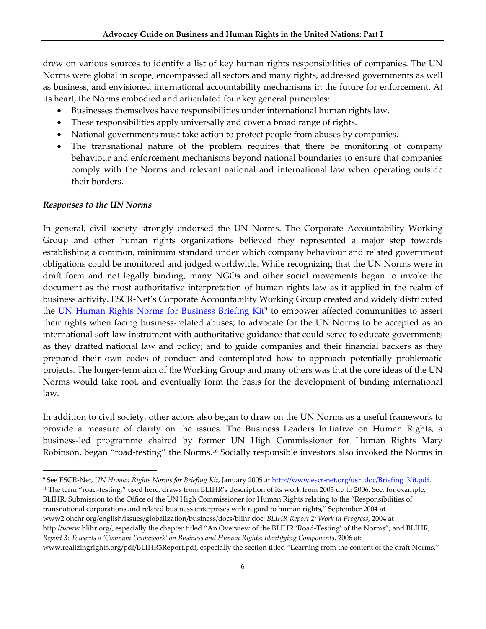drew on various sources to identify a list of key human rights responsibilities of companies. The UN Norms were global in scope, encompassed all sectors and many rights, addressed governments as well as business, and envisioned international accountability mechanisms in the future for enforcement. At its heart, the Norms embodied and articulated four key general principles:

- Businesses themselves have responsibilities under international human rights law.
- These responsibilities apply universally and cover a broad range of rights.
- National governments must take action to protect people from abuses by companies.
- The transnational nature of the problem requires that there be monitoring of company behaviour and enforcement mechanisms beyond national boundaries to ensure that companies comply with the Norms and relevant national and international law when operating outside their borders.

#### *Responses to the UN Norms*

In general, civil society strongly endorsed the UN Norms. The Corporate Accountability Working Group and other human rights organizations believed they represented a major step towards establishing a common, minimum standard under which company behaviour and related government obligations could be monitored and judged worldwide. While recognizing that the UN Norms were in draft form and not legally binding, many NGOs and other social movements began to invoke the document as the most authoritative interpretation of human rights law as it applied in the realm of business activity. ESCR‐Net's Corporate Accountability Working Group created and widely distributed the UN Human Rights Norms for Business Briefing Kit<sup>9</sup> to empower affected communities to assert their rights when facing business-related abuses; to advocate for the UN Norms to be accepted as an international soft-law instrument with authoritative guidance that could serve to educate governments as they drafted national law and policy; and to guide companies and their financial backers as they prepared their own codes of conduct and contemplated how to approach potentially problematic projects. The longer‐term aim of the Working Group and many others was that the core ideas of the UN Norms would take root, and eventually form the basis for the development of binding international law.

In addition to civil society, other actors also began to draw on the UN Norms as a useful framework to provide a measure of clarity on the issues. The Business Leaders Initiative on Human Rights, a business‐led programme chaired by former UN High Commissioner for Human Rights Mary Robinson, began "road-testing" the Norms.<sup>10</sup> Socially responsible investors also invoked the Norms in

<sup>9</sup> See ESCR‐Net, *UN Human Rights Norms for Briefing Kit*, January 2005 at http://www.escr‐net.org/usr\_doc/Briefing\_Kit.pdf. <sup>10</sup> The term "road-testing," used here, draws from BLIHR's description of its work from 2003 up to 2006. See, for example, BLIHR, Submission to the Office of the UN High Commissioner for Human Rights relating to the "Responsibilities of transnational corporations and related business enterprises with regard to human rights," September 2004 at www2.ohchr.org/english/issues/globalization/business/docs/blihr.doc; *BLIHR Report 2: Work in Progress*, 2004 at http://www.blihr.org/, especially the chapter titled "An Overview of the BLIHR 'Road‐Testing' of the Norms"; and BLIHR, *Report 3: Towards a 'Common Framework' on Business and Human Rights: Identifying Components*, 2006 at: www.realizingrights.org/pdf/BLIHR3Report.pdf, especially the section titled "Learning from the content of the draft Norms."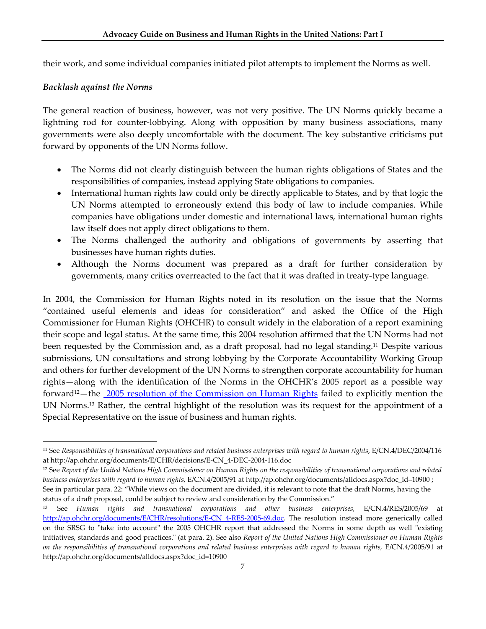their work, and some individual companies initiated pilot attempts to implement the Norms as well.

#### *Backlash against the Norms*

The general reaction of business, however, was not very positive. The UN Norms quickly became a lightning rod for counter-lobbying. Along with opposition by many business associations, many governments were also deeply uncomfortable with the document. The key substantive criticisms put forward by opponents of the UN Norms follow.

- The Norms did not clearly distinguish between the human rights obligations of States and the responsibilities of companies, instead applying State obligations to companies.
- International human rights law could only be directly applicable to States, and by that logic the UN Norms attempted to erroneously extend this body of law to include companies. While companies have obligations under domestic and international laws, international human rights law itself does not apply direct obligations to them.
- The Norms challenged the authority and obligations of governments by asserting that businesses have human rights duties.
- Although the Norms document was prepared as a draft for further consideration by governments, many critics overreacted to the fact that it was drafted in treaty‐type language.

In 2004, the Commission for Human Rights noted in its resolution on the issue that the Norms "contained useful elements and ideas for consideration" and asked the Office of the High Commissioner for Human Rights (OHCHR) to consult widely in the elaboration of a report examining their scope and legal status. At the same time, this 2004 resolution affirmed that the UN Norms had not been requested by the Commission and, as a draft proposal, had no legal standing.11 Despite various submissions, UN consultations and strong lobbying by the Corporate Accountability Working Group and others for further development of the UN Norms to strengthen corporate accountability for human rights—along with the identification of the Norms in the OHCHR's 2005 report as a possible way forward12—the 2005 resolution of the Commission on Human Rights failed to explicitly mention the UN Norms.13 Rather, the central highlight of the resolution was its request for the appointment of a Special Representative on the issue of business and human rights.

 $11$  See Responsibilities of transnational corporations and related business enterprises with regard to human rights,  $E/CN.4/DEC/2004/116$ at http://ap.ohchr.org/documents/E/CHR/decisions/E‐CN\_4‐DEC‐2004‐116.doc

 $12$  See Report of the United Nations High Commissioner on Human Rights on the responsibilities of transnational corporations and related *business enterprises with regard to human rights,* E/CN.4/2005/91 at http://ap.ohchr.org/documents/alldocs.aspx?doc\_id=10900 ; See in particular para. 22: "While views on the document are divided, it is relevant to note that the draft Norms, having the status of a draft proposal, could be subject to review and consideration by the Commission."

<sup>13</sup> See *Human rights and transnational corporations and other business enterprises,* E/CN.4/RES/2005/69 at http://ap.ohchr.org/documents/E/CHR/resolutions/E-CN\_4-RES-2005-69.doc. The resolution instead more generically called on the SRSG to "take into account" the 2005 OHCHR report that addressed the Norms in some depth as well "existing initiatives, standards and good practices.ʺ (at para. 2). See also *Report of the United Nations High Commissioner on Human Rights* on the responsibilities of transnational corporations and related business enterprises with regard to human rights, E/CN.4/2005/91 at http://ap.ohchr.org/documents/alldocs.aspx?doc\_id=10900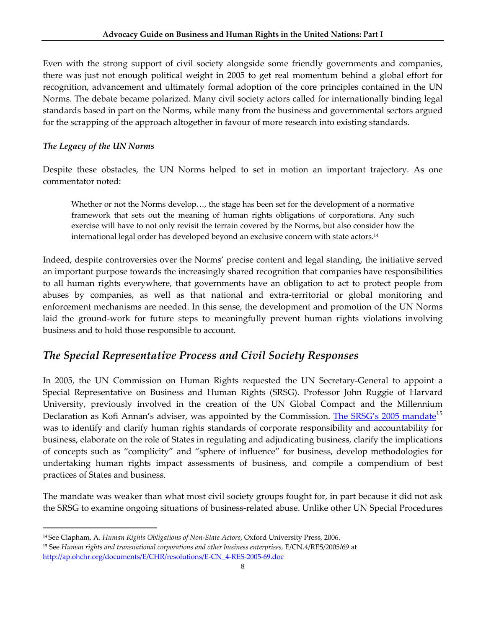Even with the strong support of civil society alongside some friendly governments and companies, there was just not enough political weight in 2005 to get real momentum behind a global effort for recognition, advancement and ultimately formal adoption of the core principles contained in the UN Norms. The debate became polarized. Many civil society actors called for internationally binding legal standards based in part on the Norms, while many from the business and governmental sectors argued for the scrapping of the approach altogether in favour of more research into existing standards.

#### *The Legacy of the UN Norms*

Despite these obstacles, the UN Norms helped to set in motion an important trajectory. As one commentator noted:

Whether or not the Norms develop…, the stage has been set for the development of a normative framework that sets out the meaning of human rights obligations of corporations. Any such exercise will have to not only revisit the terrain covered by the Norms, but also consider how the international legal order has developed beyond an exclusive concern with state actors.14

Indeed, despite controversies over the Norms' precise content and legal standing, the initiative served an important purpose towards the increasingly shared recognition that companies have responsibilities to all human rights everywhere, that governments have an obligation to act to protect people from abuses by companies, as well as that national and extra‐territorial or global monitoring and enforcement mechanisms are needed. In this sense, the development and promotion of the UN Norms laid the ground-work for future steps to meaningfully prevent human rights violations involving business and to hold those responsible to account.

# *The Special Representative Process and Civil Society Responses*

In 2005, the UN Commission on Human Rights requested the UN Secretary‐General to appoint a Special Representative on Business and Human Rights (SRSG). Professor John Ruggie of Harvard University, previously involved in the creation of the UN Global Compact and the Millennium Declaration as Kofi Annan's adviser, was appointed by the Commission. The SRSG's 2005 mandate<sup>15</sup> was to identify and clarify human rights standards of corporate responsibility and accountability for business, elaborate on the role of States in regulating and adjudicating business, clarify the implications of concepts such as "complicity" and "sphere of influence" for business, develop methodologies for undertaking human rights impact assessments of business, and compile a compendium of best practices of States and business.

The mandate was weaker than what most civil society groups fought for, in part because it did not ask the SRSG to examine ongoing situations of business‐related abuse. Unlike other UN Special Procedures

 <sup>14</sup> See Clapham, A. *Human Rights Obligations of Non‐State Actors*, Oxford University Press, 2006.

<sup>15</sup> See *Human rights and transnational corporations and other business enterprises,* E/CN.4/RES/2005/69 at http://ap.ohchr.org/documents/E/CHR/resolutions/E‐CN\_4‐RES‐2005‐69.doc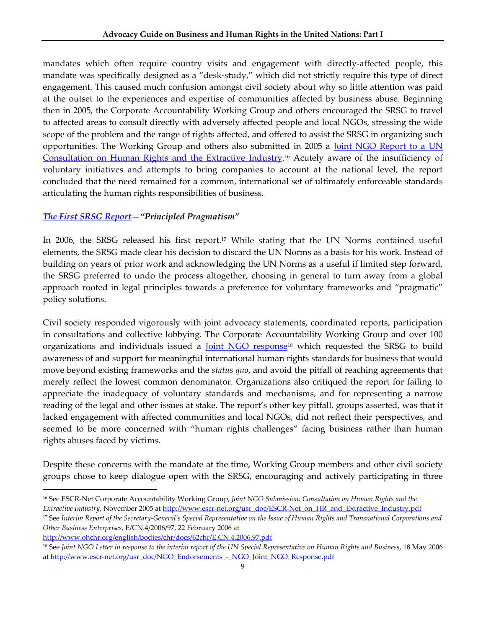mandates which often require country visits and engagement with directly-affected people, this mandate was specifically designed as a "desk‐study," which did not strictly require this type of direct engagement. This caused much confusion amongst civil society about why so little attention was paid at the outset to the experiences and expertise of communities affected by business abuse. Beginning then in 2005, the Corporate Accountability Working Group and others encouraged the SRSG to travel to affected areas to consult directly with adversely affected people and local NGOs, stressing the wide scope of the problem and the range of rights affected, and offered to assist the SRSG in organizing such opportunities. The Working Group and others also submitted in 2005 a Joint NGO Report to a UN Consultation on Human Rights and the Extractive Industry.<sup>16</sup> Acutely aware of the insufficiency of voluntary initiatives and attempts to bring companies to account at the national level, the report concluded that the need remained for a common, international set of ultimately enforceable standards articulating the human rights responsibilities of business.

#### *The First SRSG Report—"Principled Pragmatism"*

In 2006, the SRSG released his first report.<sup>17</sup> While stating that the UN Norms contained useful elements, the SRSG made clear his decision to discard the UN Norms as a basis for his work. Instead of building on years of prior work and acknowledging the UN Norms as a useful if limited step forward, the SRSG preferred to undo the process altogether, choosing in general to turn away from a global approach rooted in legal principles towards a preference for voluntary frameworks and "pragmatic" policy solutions.

Civil society responded vigorously with joint advocacy statements, coordinated reports, participation in consultations and collective lobbying. The Corporate Accountability Working Group and over 100 organizations and individuals issued a Joint NGO response18 which requested the SRSG to build awareness of and support for meaningful international human rights standards for business that would move beyond existing frameworks and the *status quo*, and avoid the pitfall of reaching agreements that merely reflect the lowest common denominator. Organizations also critiqued the report for failing to appreciate the inadequacy of voluntary standards and mechanisms, and for representing a narrow reading of the legal and other issues at stake. The report's other key pitfall, groups asserted, was that it lacked engagement with affected communities and local NGOs, did not reflect their perspectives, and seemed to be more concerned with "human rights challenges" facing business rather than human rights abuses faced by victims.

Despite these concerns with the mandate at the time, Working Group members and other civil society groups chose to keep dialogue open with the SRSG, encouraging and actively participating in three

http://www.ohchr.org/english/bodies/chr/docs/62chr/E.CN.4.2006.97.pdf

 <sup>16</sup> See ESCR‐Net Corporate Accountability Working Group, *Joint NGO Submission: Consultation on Human Rights and the Extractive Industry*, November 2005 at http://www.escr-net.org/usr\_doc/ESCR-Net\_on\_HR\_and\_Extractive\_Industry.pdf

<sup>&</sup>lt;sup>17</sup> See Interim Report of the Secretary-General's Special Representative on the Issue of Human Rights and Transnational Corporations and *Other Business Enterprises*, E/CN.4/2006/97, 22 February 2006 at

<sup>&</sup>lt;sup>18</sup> See Joint NGO Letter in response to the interim report of the UN Special Representative on Human Rights and Business, 18 May 2006 at http://www.escr-net.org/usr\_doc/NGO\_Endorsements\_-\_NGO\_Joint\_NGO\_Response.pdf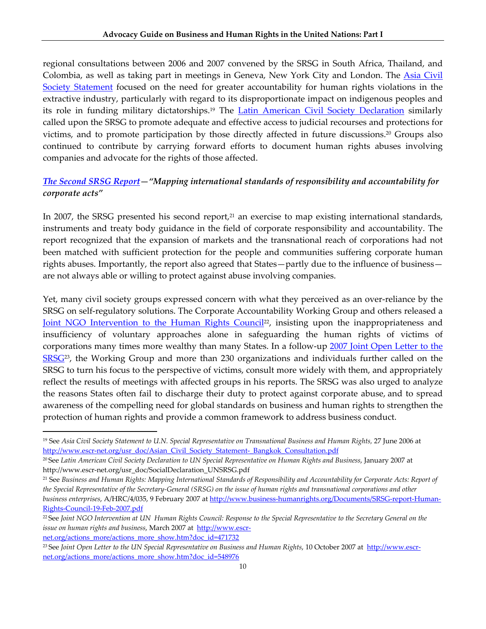regional consultations between 2006 and 2007 convened by the SRSG in South Africa, Thailand, and Colombia, as well as taking part in meetings in Geneva, New York City and London. The Asia Civil Society Statement focused on the need for greater accountability for human rights violations in the extractive industry, particularly with regard to its disproportionate impact on indigenous peoples and its role in funding military dictatorships.19 The Latin American Civil Society Declaration similarly called upon the SRSG to promote adequate and effective access to judicial recourses and protections for victims, and to promote participation by those directly affected in future discussions.20 Groups also continued to contribute by carrying forward efforts to document human rights abuses involving companies and advocate for the rights of those affected.

#### *The Second SRSG Report—"Mapping international standards of responsibility and accountability for corporate acts"*

In 2007, the SRSG presented his second report, $2<sup>1</sup>$  an exercise to map existing international standards, instruments and treaty body guidance in the field of corporate responsibility and accountability. The report recognized that the expansion of markets and the transnational reach of corporations had not been matched with sufficient protection for the people and communities suffering corporate human rights abuses. Importantly, the report also agreed that States—partly due to the influence of business are not always able or willing to protect against abuse involving companies.

Yet, many civil society groups expressed concern with what they perceived as an over-reliance by the SRSG on self-regulatory solutions. The Corporate Accountability Working Group and others released a Joint NGO Intervention to the Human Rights Council<sup>22</sup>, insisting upon the inappropriateness and insufficiency of voluntary approaches alone in safeguarding the human rights of victims of corporations many times more wealthy than many States. In a follow-up 2007 Joint Open Letter to the SRSG<sup>23</sup>, the Working Group and more than 230 organizations and individuals further called on the SRSG to turn his focus to the perspective of victims, consult more widely with them, and appropriately reflect the results of meetings with affected groups in his reports. The SRSG was also urged to analyze the reasons States often fail to discharge their duty to protect against corporate abuse, and to spread awareness of the compelling need for global standards on business and human rights to strengthen the protection of human rights and provide a common framework to address business conduct.

net.org/actions\_more/actions\_more\_show.htm?doc\_id=471732

<sup>19</sup> See *Asia Civil Society Statement to U.N. Special Representative on Transnational Business and Human Rights,* 27 June 2006 at http://www.escr-net.org/usr\_doc/Asian\_Civil\_Society\_Statement-\_Bangkok\_Consultation.pdf

<sup>20</sup> See *Latin American Civil Society Declaration to UN Special Representative on Human Rights and Business*, January 2007 at http://www.escr‐net.org/usr\_doc/SocialDeclaration\_UNSRSG.pdf

<sup>&</sup>lt;sup>21</sup> See Business and Human Rights: Mapping International Standards of Responsibility and Accountability for Corporate Acts: Report of the Special Representative of the Secretary-General (SRSG) on the issue of human rights and transnational corporations and other *business enterprises*, A/HRC/4/035, 9 February 2007 at http://www.business‐humanrights.org/Documents/SRSG‐report‐Human‐ Rights‐Council‐19‐Feb‐2007.pdf

<sup>&</sup>lt;sup>22</sup>See Joint NGO Intervention at UN Human Rights Council: Response to the Special Representative to the Secretary General on the *issue* on *human rights* and *business*, March 2007 at http://www.escr-

<sup>23</sup> See *Joint Open Letter to the UN Special Representative on Business and Human Rights*, 10 October 2007 at http://www.escr‐ net.org/actions\_more/actions\_more\_show.htm?doc\_id=548976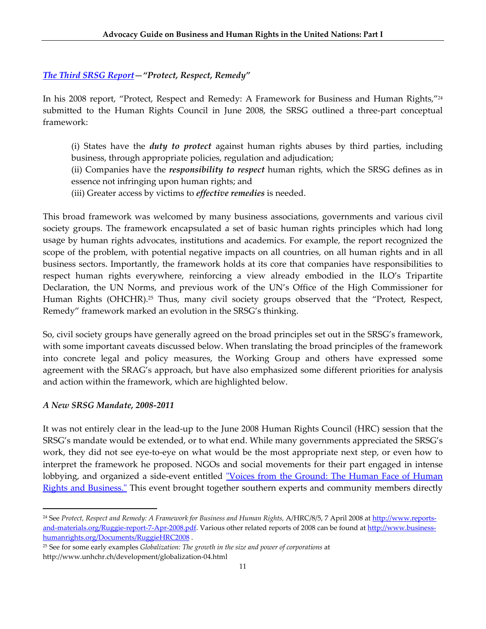#### *The Third SRSG Report—"Protect, Respect, Remedy"*

In his 2008 report, "Protect, Respect and Remedy: A Framework for Business and Human Rights,"24 submitted to the Human Rights Council in June 2008, the SRSG outlined a three-part conceptual framework:

(i) States have the *duty to protect* against human rights abuses by third parties, including business, through appropriate policies, regulation and adjudication;

(ii) Companies have the *responsibility to respect* human rights, which the SRSG defines as in essence not infringing upon human rights; and

(iii) Greater access by victims to *effective remedies* is needed.

This broad framework was welcomed by many business associations, governments and various civil society groups. The framework encapsulated a set of basic human rights principles which had long usage by human rights advocates, institutions and academics. For example, the report recognized the scope of the problem, with potential negative impacts on all countries, on all human rights and in all business sectors. Importantly, the framework holds at its core that companies have responsibilities to respect human rights everywhere, reinforcing a view already embodied in the ILO's Tripartite Declaration, the UN Norms, and previous work of the UN's Office of the High Commissioner for Human Rights (OHCHR).<sup>25</sup> Thus, many civil society groups observed that the "Protect, Respect, Remedy" framework marked an evolution in the SRSG's thinking.

So, civil society groups have generally agreed on the broad principles set out in the SRSG's framework, with some important caveats discussed below. When translating the broad principles of the framework into concrete legal and policy measures, the Working Group and others have expressed some agreement with the SRAG's approach, but have also emphasized some different priorities for analysis and action within the framework, which are highlighted below.

#### *A New SRSG Mandate, 2008‐2011*

It was not entirely clear in the lead‐up to the June 2008 Human Rights Council (HRC) session that the SRSG's mandate would be extended, or to what end. While many governments appreciated the SRSG's work, they did not see eye-to-eye on what would be the most appropriate next step, or even how to interpret the framework he proposed. NGOs and social movements for their part engaged in intense lobbying, and organized a side-event entitled "Voices from the Ground: The Human Face of Human Rights and Business.<sup>™</sup> This event brought together southern experts and community members directly

<sup>24</sup> See *Protect, Respect and Remedy: A Framework for Business and Human Rights,* A/HRC/8/5, 7 April 2008 at http://www.reports‐ and-materials.org/Ruggie-report-7-Apr-2008.pdf. Various other related reports of 2008 can be found at http://www.businesshumanrights.org/Documents/RuggieHRC2008 .

<sup>25</sup> See for some early examples *Globalization: The growth in the size and power of corporations* at http://www.unhchr.ch/development/globalization‐04.html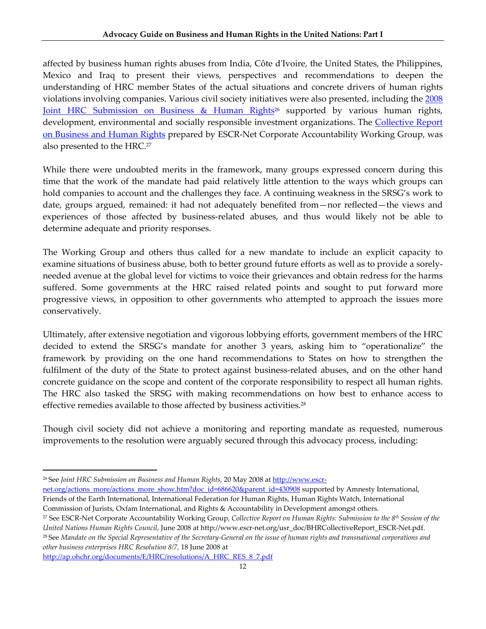affected by business human rights abuses from India, Côte dʹIvoire, the United States, the Philippines, Mexico and Iraq to present their views, perspectives and recommendations to deepen the understanding of HRC member States of the actual situations and concrete drivers of human rights violations involving companies. Various civil society initiatives were also presented, including the 2008 Joint HRC Submission on Business & Human Rights<sup>26</sup> supported by various human rights, development, environmental and socially responsible investment organizations. The Collective Report on Business and Human Rights prepared by ESCR-Net Corporate Accountability Working Group, was also presented to the HRC.<sup>27</sup>

While there were undoubted merits in the framework, many groups expressed concern during this time that the work of the mandate had paid relatively little attention to the ways which groups can hold companies to account and the challenges they face. A continuing weakness in the SRSG's work to date, groups argued, remained: it had not adequately benefited from—nor reflected—the views and experiences of those affected by business-related abuses, and thus would likely not be able to determine adequate and priority responses.

The Working Group and others thus called for a new mandate to include an explicit capacity to examine situations of business abuse, both to better ground future efforts as well as to provide a sorely‐ needed avenue at the global level for victims to voice their grievances and obtain redress for the harms suffered. Some governments at the HRC raised related points and sought to put forward more progressive views, in opposition to other governments who attempted to approach the issues more conservatively.

Ultimately, after extensive negotiation and vigorous lobbying efforts, government members of the HRC decided to extend the SRSG's mandate for another 3 years, asking him to "operationalize" the framework by providing on the one hand recommendations to States on how to strengthen the fulfilment of the duty of the State to protect against business-related abuses, and on the other hand concrete guidance on the scope and content of the corporate responsibility to respect all human rights. The HRC also tasked the SRSG with making recommendations on how best to enhance access to effective remedies available to those affected by business activities.28

Though civil society did not achieve a monitoring and reporting mandate as requested, numerous improvements to the resolution were arguably secured through this advocacy process, including:

http://ap.ohchr.org/documents/E/HRC/resolutions/A\_HRC\_RES\_8\_7.pdf

<sup>26</sup> See *Joint HRC Submission on Business and Human Rights,* 20 May 2008 at http://www.escr‐

net.org/actions\_more/actions\_more\_show.htm?doc\_id=686620&parent\_id=430908 supported by Amnesty International, Friends of the Earth International, International Federation for Human Rights, Human Rights Watch, International Commission of Jurists, Oxfam International, and Rights & Accountability in Development amongst others.

<sup>27</sup> See ESCR‐Net Corporate Accountability Working Group, *Collective Report on Human Rights: Submission to the 8th Session of the United Nations Human Rights Council*, June 2008 at http://www.escr‐net.org/usr\_doc/BHRCollectiveReport\_ESCR‐Net.pdf. <sup>28</sup> See Mandate on the Special Representative of the Secretary-General on the issue of human rights and transnational corporations and *other business enterprises HRC Resolution 8/7,* 18 June 2008 at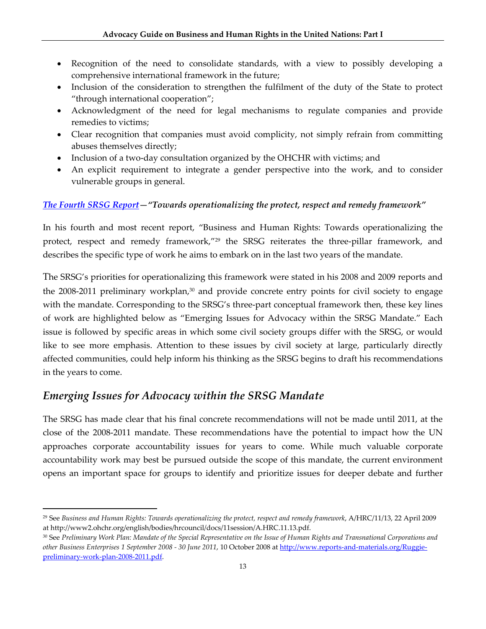- Recognition of the need to consolidate standards, with a view to possibly developing a comprehensive international framework in the future;
- Inclusion of the consideration to strengthen the fulfilment of the duty of the State to protect "through international cooperation";
- Acknowledgment of the need for legal mechanisms to regulate companies and provide remedies to victims;
- Clear recognition that companies must avoid complicity, not simply refrain from committing abuses themselves directly;
- Inclusion of a two-day consultation organized by the OHCHR with victims; and
- An explicit requirement to integrate a gender perspective into the work, and to consider vulnerable groups in general.

#### *The Fourth SRSG Report—"Towards operationalizing the protect, respect and remedy framework"*

In his fourth and most recent report, "Business and Human Rights: Towards operationalizing the protect, respect and remedy framework,"<sup>29</sup> the SRSG reiterates the three-pillar framework, and describes the specific type of work he aims to embark on in the last two years of the mandate.

The SRSG's priorities for operationalizing this framework were stated in his 2008 and 2009 reports and the 2008–2011 preliminary workplan, $30$  and provide concrete entry points for civil society to engage with the mandate. Corresponding to the SRSG's three-part conceptual framework then, these key lines of work are highlighted below as "Emerging Issues for Advocacy within the SRSG Mandate." Each issue is followed by specific areas in which some civil society groups differ with the SRSG, or would like to see more emphasis. Attention to these issues by civil society at large, particularly directly affected communities, could help inform his thinking as the SRSG begins to draft his recommendations in the years to come.

## *Emerging Issues for Advocacy within the SRSG Mandate*

The SRSG has made clear that his final concrete recommendations will not be made until 2011, at the close of the 2008‐2011 mandate. These recommendations have the potential to impact how the UN approaches corporate accountability issues for years to come. While much valuable corporate accountability work may best be pursued outside the scope of this mandate, the current environment opens an important space for groups to identify and prioritize issues for deeper debate and further

<sup>29</sup> See *Business and Human Rights: Towards operationalizing the protect, respect and remedy framework*, A/HRC/11/13, 22 April 2009 at http://www2.ohchr.org/english/bodies/hrcouncil/docs/11session/A.HRC.11.13.pdf.

<sup>30</sup> See Preliminary Work Plan: Mandate of the Special Representative on the Issue of Human Rights and Transnational Corporations and *other Business Enterprises 1 September 2008 ‐ 30 June 2011*, 10 October 2008 at http://www.reports‐and‐materials.org/Ruggie‐ preliminary‐work‐plan‐2008‐2011.pdf.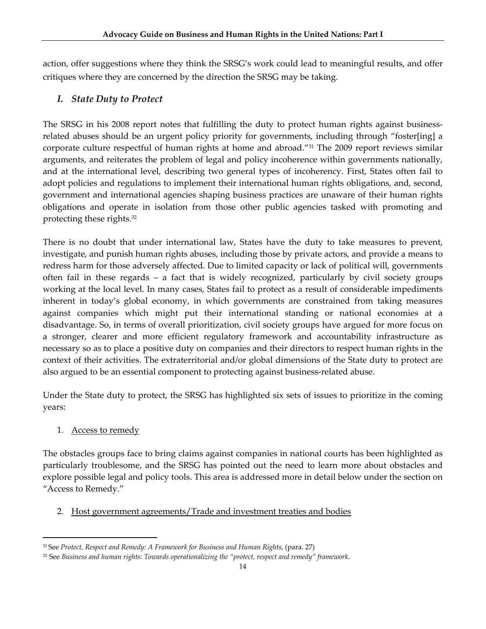action, offer suggestions where they think the SRSG's work could lead to meaningful results, and offer critiques where they are concerned by the direction the SRSG may be taking.

### *I. State Duty to Protect*

The SRSG in his 2008 report notes that fulfilling the duty to protect human rights against businessrelated abuses should be an urgent policy priority for governments, including through "foster[ing] a corporate culture respectful of human rights at home and abroad."31 The 2009 report reviews similar arguments, and reiterates the problem of legal and policy incoherence within governments nationally, and at the international level, describing two general types of incoherency. First, States often fail to adopt policies and regulations to implement their international human rights obligations, and, second, government and international agencies shaping business practices are unaware of their human rights obligations and operate in isolation from those other public agencies tasked with promoting and protecting these rights.32

There is no doubt that under international law, States have the duty to take measures to prevent, investigate, and punish human rights abuses, including those by private actors, and provide a means to redress harm for those adversely affected. Due to limited capacity or lack of political will, governments often fail in these regards – a fact that is widely recognized, particularly by civil society groups working at the local level. In many cases, States fail to protect as a result of considerable impediments inherent in today's global economy, in which governments are constrained from taking measures against companies which might put their international standing or national economies at a disadvantage. So, in terms of overall prioritization, civil society groups have argued for more focus on a stronger, clearer and more efficient regulatory framework and accountability infrastructure as necessary so as to place a positive duty on companies and their directors to respect human rights in the context of their activities. The extraterritorial and/or global dimensions of the State duty to protect are also argued to be an essential component to protecting against business-related abuse.

Under the State duty to protect, the SRSG has highlighted six sets of issues to prioritize in the coming years:

#### 1. Access to remedy

The obstacles groups face to bring claims against companies in national courts has been highlighted as particularly troublesome, and the SRSG has pointed out the need to learn more about obstacles and explore possible legal and policy tools. This area is addressed more in detail below under the section on "Access to Remedy."

#### 2. Host government agreements/Trade and investment treaties and bodies

<sup>31</sup> See *Protect, Respect and Remedy: A Framework for Business and Human Rights,* (para. 27)

<sup>32</sup> See *Business and human rights: Towards operationalizing the "protect, respect and remedy" framework*.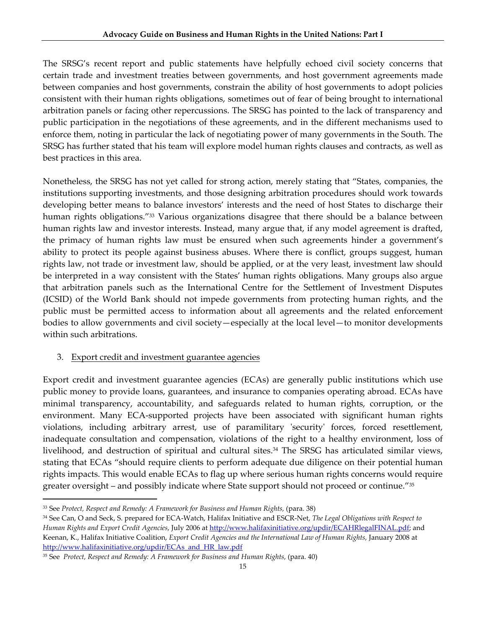The SRSG's recent report and public statements have helpfully echoed civil society concerns that certain trade and investment treaties between governments, and host government agreements made between companies and host governments, constrain the ability of host governments to adopt policies consistent with their human rights obligations, sometimes out of fear of being brought to international arbitration panels or facing other repercussions. The SRSG has pointed to the lack of transparency and public participation in the negotiations of these agreements, and in the different mechanisms used to enforce them, noting in particular the lack of negotiating power of many governments in the South. The SRSG has further stated that his team will explore model human rights clauses and contracts, as well as best practices in this area.

Nonetheless, the SRSG has not yet called for strong action, merely stating that "States, companies, the institutions supporting investments, and those designing arbitration procedures should work towards developing better means to balance investors' interests and the need of host States to discharge their human rights obligations."<sup>33</sup> Various organizations disagree that there should be a balance between human rights law and investor interests. Instead, many argue that, if any model agreement is drafted, the primacy of human rights law must be ensured when such agreements hinder a government's ability to protect its people against business abuses. Where there is conflict, groups suggest, human rights law, not trade or investment law, should be applied, or at the very least, investment law should be interpreted in a way consistent with the States' human rights obligations. Many groups also argue that arbitration panels such as the International Centre for the Settlement of Investment Disputes (ICSID) of the World Bank should not impede governments from protecting human rights, and the public must be permitted access to information about all agreements and the related enforcement bodies to allow governments and civil society—especially at the local level—to monitor developments within such arbitrations.

#### 3. Export credit and investment guarantee agencies

Export credit and investment guarantee agencies (ECAs) are generally public institutions which use public money to provide loans, guarantees, and insurance to companies operating abroad. ECAs have minimal transparency, accountability, and safeguards related to human rights, corruption, or the environment. Many ECA‐supported projects have been associated with significant human rights violations, including arbitrary arrest, use of paramilitary 'security' forces, forced resettlement, inadequate consultation and compensation, violations of the right to a healthy environment, loss of livelihood, and destruction of spiritual and cultural sites.<sup>34</sup> The SRSG has articulated similar views, stating that ECAs "should require clients to perform adequate due diligence on their potential human rights impacts. This would enable ECAs to flag up where serious human rights concerns would require greater oversight – and possibly indicate where State support should not proceed or continue."35

<sup>33</sup> See *Protect, Respect and Remedy: A Framework for Business and Human Rights,* (para. 38)

<sup>34</sup> See Can, O and Seck, S. prepared for ECA‐Watch, Halifax Initiative and ESCR‐Net, *The Legal Obligations with Respect to Human Rights and Export Credit Agencies*, July 2006 at http://www.halifaxinitiative.org/updir/ECAHRlegalFINAL.pdf; and Keenan, K., Halifax Initiative Coalition, *Export Credit Agencies and the International Law of Human Rights,* January 2008 at http://www.halifaxinitiative.org/updir/ECAs\_and\_HR\_law.pdf

<sup>35</sup> See *Protect, Respect and Remedy: A Framework for Business and Human Rights,* (para. 40)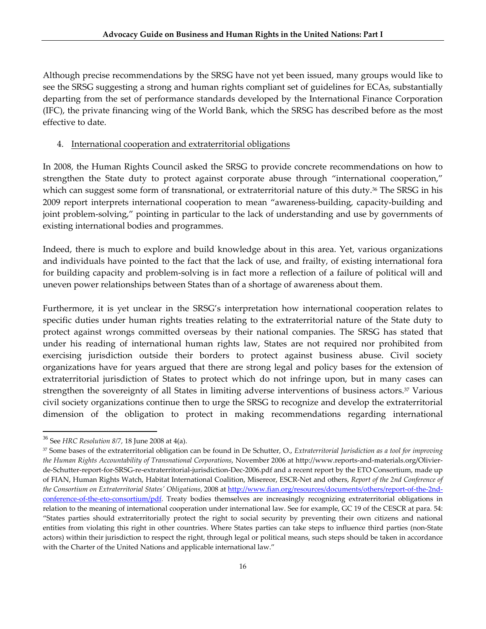Although precise recommendations by the SRSG have not yet been issued, many groups would like to see the SRSG suggesting a strong and human rights compliant set of guidelines for ECAs, substantially departing from the set of performance standards developed by the International Finance Corporation (IFC), the private financing wing of the World Bank, which the SRSG has described before as the most effective to date.

#### 4. International cooperation and extraterritorial obligations

In 2008, the Human Rights Council asked the SRSG to provide concrete recommendations on how to strengthen the State duty to protect against corporate abuse through "international cooperation," which can suggest some form of transnational, or extraterritorial nature of this duty.<sup>36</sup> The SRSG in his 2009 report interprets international cooperation to mean "awareness‐building, capacity‐building and joint problem‐solving," pointing in particular to the lack of understanding and use by governments of existing international bodies and programmes.

Indeed, there is much to explore and build knowledge about in this area. Yet, various organizations and individuals have pointed to the fact that the lack of use, and frailty, of existing international fora for building capacity and problem‐solving is in fact more a reflection of a failure of political will and uneven power relationships between States than of a shortage of awareness about them.

Furthermore, it is yet unclear in the SRSG's interpretation how international cooperation relates to specific duties under human rights treaties relating to the extraterritorial nature of the State duty to protect against wrongs committed overseas by their national companies. The SRSG has stated that under his reading of international human rights law, States are not required nor prohibited from exercising jurisdiction outside their borders to protect against business abuse. Civil society organizations have for years argued that there are strong legal and policy bases for the extension of extraterritorial jurisdiction of States to protect which do not infringe upon, but in many cases can strengthen the sovereignty of all States in limiting adverse interventions of business actors.37 Various civil society organizations continue then to urge the SRSG to recognize and develop the extraterritorial dimension of the obligation to protect in making recommendations regarding international

<sup>36</sup> See *HRC Resolution 8/7,* 18 June 2008 at 4(a).

<sup>37</sup> Some bases of the extraterritorial obligation can be found in De Schutter, O., *Extraterritorial Jurisdiction as a tool for improving the Human Rights Accountability of Transnational Corporations*, November 2006 at http://www.reports‐and‐materials.org/Olivier‐ de‐Schutter‐report‐for‐SRSG‐re‐extraterritorial‐jurisdiction‐Dec‐2006.pdf and a recent report by the ETO Consortium, made up of FIAN, Human Rights Watch, Habitat International Coalition, Misereor, ESCR‐Net and others, *Report of the 2nd Conference of the Consortium on Extraterritorial Statesʹ Obligations*, 2008 at http://www.fian.org/resources/documents/others/report‐of‐the‐2nd‐ conference-of-the-eto-consortium/pdf. Treaty bodies themselves are increasingly recognizing extraterritorial obligations in relation to the meaning of international cooperation under international law. See for example, GC 19 of the CESCR at para. 54: "States parties should extraterritorially protect the right to social security by preventing their own citizens and national entities from violating this right in other countries. Where States parties can take steps to influence third parties (non‐State actors) within their jurisdiction to respect the right, through legal or political means, such steps should be taken in accordance with the Charter of the United Nations and applicable international law."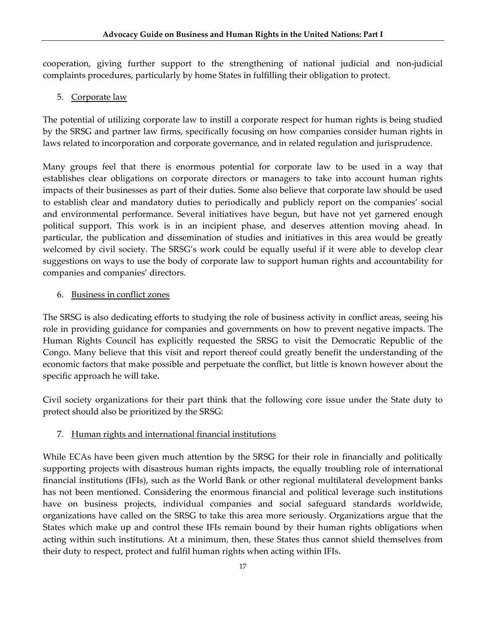cooperation, giving further support to the strengthening of national judicial and non‐judicial complaints procedures, particularly by home States in fulfilling their obligation to protect.

5. Corporate law

The potential of utilizing corporate law to instill a corporate respect for human rights is being studied by the SRSG and partner law firms, specifically focusing on how companies consider human rights in laws related to incorporation and corporate governance, and in related regulation and jurisprudence.

Many groups feel that there is enormous potential for corporate law to be used in a way that establishes clear obligations on corporate directors or managers to take into account human rights impacts of their businesses as part of their duties. Some also believe that corporate law should be used to establish clear and mandatory duties to periodically and publicly report on the companies' social and environmental performance. Several initiatives have begun, but have not yet garnered enough political support. This work is in an incipient phase, and deserves attention moving ahead. In particular, the publication and dissemination of studies and initiatives in this area would be greatly welcomed by civil society. The SRSG's work could be equally useful if it were able to develop clear suggestions on ways to use the body of corporate law to support human rights and accountability for companies and companies' directors.

#### 6. Business in conflict zones

The SRSG is also dedicating efforts to studying the role of business activity in conflict areas, seeing his role in providing guidance for companies and governments on how to prevent negative impacts. The Human Rights Council has explicitly requested the SRSG to visit the Democratic Republic of the Congo. Many believe that this visit and report thereof could greatly benefit the understanding of the economic factors that make possible and perpetuate the conflict, but little is known however about the specific approach he will take.

Civil society organizations for their part think that the following core issue under the State duty to protect should also be prioritized by the SRSG:

#### 7. Human rights and international financial institutions

While ECAs have been given much attention by the SRSG for their role in financially and politically supporting projects with disastrous human rights impacts, the equally troubling role of international financial institutions (IFIs), such as the World Bank or other regional multilateral development banks has not been mentioned. Considering the enormous financial and political leverage such institutions have on business projects, individual companies and social safeguard standards worldwide, organizations have called on the SRSG to take this area more seriously. Organizations argue that the States which make up and control these IFIs remain bound by their human rights obligations when acting within such institutions. At a minimum, then, these States thus cannot shield themselves from their duty to respect, protect and fulfil human rights when acting within IFIs.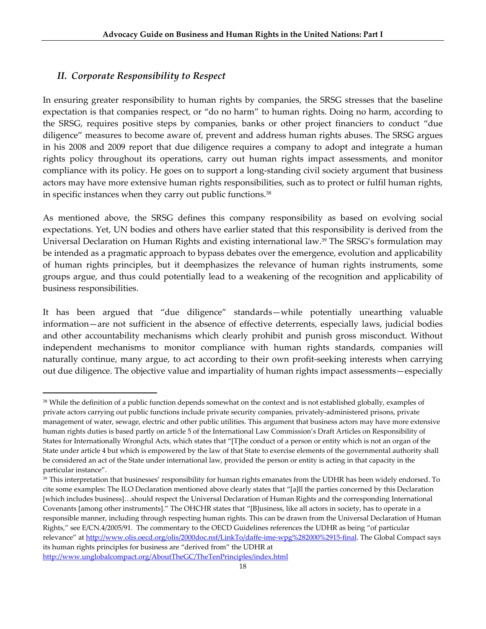#### *II. Corporate Responsibility to Respect*

In ensuring greater responsibility to human rights by companies, the SRSG stresses that the baseline expectation is that companies respect, or "do no harm" to human rights. Doing no harm, according to the SRSG, requires positive steps by companies, banks or other project financiers to conduct "due diligence" measures to become aware of, prevent and address human rights abuses. The SRSG argues in his 2008 and 2009 report that due diligence requires a company to adopt and integrate a human rights policy throughout its operations, carry out human rights impact assessments, and monitor compliance with its policy. He goes on to support a long-standing civil society argument that business actors may have more extensive human rights responsibilities, such as to protect or fulfil human rights, in specific instances when they carry out public functions.<sup>38</sup>

As mentioned above, the SRSG defines this company responsibility as based on evolving social expectations. Yet, UN bodies and others have earlier stated that this responsibility is derived from the Universal Declaration on Human Rights and existing international law.<sup>39</sup> The SRSG's formulation may be intended as a pragmatic approach to bypass debates over the emergence, evolution and applicability of human rights principles, but it deemphasizes the relevance of human rights instruments, some groups argue, and thus could potentially lead to a weakening of the recognition and applicability of business responsibilities.

It has been argued that "due diligence" standards—while potentially unearthing valuable information—are not sufficient in the absence of effective deterrents, especially laws, judicial bodies and other accountability mechanisms which clearly prohibit and punish gross misconduct. Without independent mechanisms to monitor compliance with human rights standards, companies will naturally continue, many argue, to act according to their own profit‐seeking interests when carrying out due diligence. The objective value and impartiality of human rights impact assessments—especially

http://www.unglobalcompact.org/AboutTheGC/TheTenPrinciples/index.html

<sup>&</sup>lt;sup>38</sup> While the definition of a public function depends somewhat on the context and is not established globally, examples of private actors carrying out public functions include private security companies, privately‐administered prisons, private management of water, sewage, electric and other public utilities. This argument that business actors may have more extensive human rights duties is based partly on article 5 of the International Law Commission's Draft Articles on Responsibility of States for Internationally Wrongful Acts, which states that "[T]he conduct of a person or entity which is not an organ of the State under article 4 but which is empowered by the law of that State to exercise elements of the governmental authority shall be considered an act of the State under international law, provided the person or entity is acting in that capacity in the particular instance".

<sup>&</sup>lt;sup>39</sup> This interpretation that businesses' responsibility for human rights emanates from the UDHR has been widely endorsed. To cite some examples: The ILO Declaration mentioned above clearly states that "[a]ll the parties concerned by this Declaration [which includes business]…should respect the Universal Declaration of Human Rights and the corresponding International Covenants [among other instruments]." The OHCHR states that "[B]usiness, like all actors in society, has to operate in a responsible manner, including through respecting human rights. This can be drawn from the Universal Declaration of Human Rights," see E/CN.4/2005/91. The commentary to the OECD Guidelines references the UDHR as being "of particular relevance" at http://www.olis.oecd.org/olis/2000doc.nsf/LinkTo/daffe-ime-wpg%282000%2915-final. The Global Compact says its human rights principles for business are "derived from" the UDHR at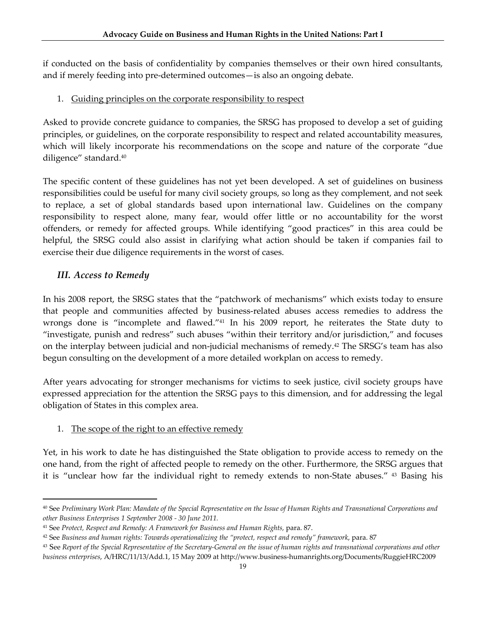if conducted on the basis of confidentiality by companies themselves or their own hired consultants, and if merely feeding into pre‐determined outcomes—is also an ongoing debate.

#### 1. Guiding principles on the corporate responsibility to respect

Asked to provide concrete guidance to companies, the SRSG has proposed to develop a set of guiding principles, or guidelines, on the corporate responsibility to respect and related accountability measures, which will likely incorporate his recommendations on the scope and nature of the corporate "due diligence" standard.40

The specific content of these guidelines has not yet been developed. A set of guidelines on business responsibilities could be useful for many civil society groups, so long as they complement, and not seek to replace, a set of global standards based upon international law. Guidelines on the company responsibility to respect alone, many fear, would offer little or no accountability for the worst offenders, or remedy for affected groups. While identifying "good practices" in this area could be helpful, the SRSG could also assist in clarifying what action should be taken if companies fail to exercise their due diligence requirements in the worst of cases.

#### *III. Access to Remedy*

In his 2008 report, the SRSG states that the "patchwork of mechanisms" which exists today to ensure that people and communities affected by business‐related abuses access remedies to address the wrongs done is "incomplete and flawed."41 In his 2009 report, he reiterates the State duty to "investigate, punish and redress" such abuses "within their territory and/or jurisdiction," and focuses on the interplay between judicial and non-judicial mechanisms of remedy.<sup>42</sup> The SRSG's team has also begun consulting on the development of a more detailed workplan on access to remedy.

After years advocating for stronger mechanisms for victims to seek justice, civil society groups have expressed appreciation for the attention the SRSG pays to this dimension, and for addressing the legal obligation of States in this complex area.

#### 1. The scope of the right to an effective remedy

Yet, in his work to date he has distinguished the State obligation to provide access to remedy on the one hand, from the right of affected people to remedy on the other. Furthermore, the SRSG argues that it is "unclear how far the individual right to remedy extends to non‐State abuses." <sup>43</sup> Basing his

<sup>40</sup> See Preliminary Work Plan: Mandate of the Special Representative on the Issue of Human Rights and Transnational Corporations and *other Business Enterprises 1 September 2008 ‐ 30 June 2011.*

<sup>41</sup> See *Protect, Respect and Remedy: A Framework for Business and Human Rights,* para. 87.

<sup>42</sup> See *Business and human rights: Towards operationalizing the "protect, respect and remedy" framework*, para. 87

<sup>&</sup>lt;sup>43</sup> See Report of the Special Representative of the Secretary-General on the issue of human rights and transnational corporations and other *business enterprises*, A/HRC/11/13/Add.1, 15 May 2009 at http://www.business‐humanrights.org/Documents/RuggieHRC2009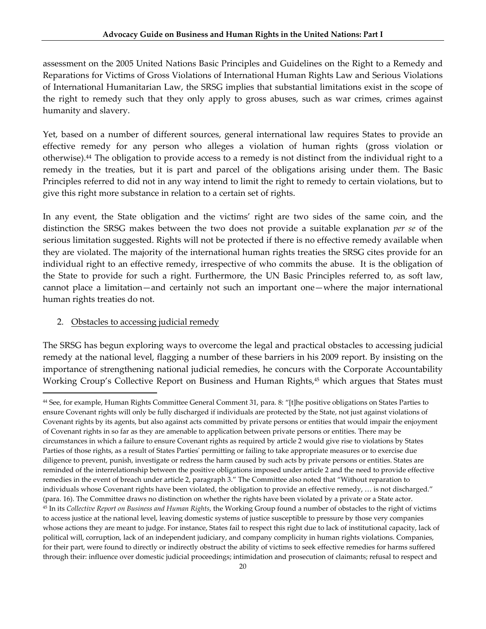assessment on the 2005 United Nations Basic Principles and Guidelines on the Right to a Remedy and Reparations for Victims of Gross Violations of International Human Rights Law and Serious Violations of International Humanitarian Law, the SRSG implies that substantial limitations exist in the scope of the right to remedy such that they only apply to gross abuses, such as war crimes, crimes against humanity and slavery.

Yet, based on a number of different sources, general international law requires States to provide an effective remedy for any person who alleges a violation of human rights (gross violation or otherwise).<sup>44</sup> The obligation to provide access to a remedy is not distinct from the individual right to a remedy in the treaties, but it is part and parcel of the obligations arising under them. The Basic Principles referred to did not in any way intend to limit the right to remedy to certain violations, but to give this right more substance in relation to a certain set of rights.

In any event, the State obligation and the victims' right are two sides of the same coin, and the distinction the SRSG makes between the two does not provide a suitable explanation *per se* of the serious limitation suggested. Rights will not be protected if there is no effective remedy available when they are violated. The majority of the international human rights treaties the SRSG cites provide for an individual right to an effective remedy, irrespective of who commits the abuse. It is the obligation of the State to provide for such a right. Furthermore, the UN Basic Principles referred to, as soft law, cannot place a limitation—and certainly not such an important one—where the major international human rights treaties do not.

#### 2. Obstacles to accessing judicial remedy

The SRSG has begun exploring ways to overcome the legal and practical obstacles to accessing judicial remedy at the national level, flagging a number of these barriers in his 2009 report. By insisting on the importance of strengthening national judicial remedies, he concurs with the Corporate Accountability Working Croup's Collective Report on Business and Human Rights,<sup>45</sup> which argues that States must

<sup>44</sup> See, for example, Human Rights Committee General Comment 31, para. 8: "[t]he positive obligations on States Parties to ensure Covenant rights will only be fully discharged if individuals are protected by the State, not just against violations of Covenant rights by its agents, but also against acts committed by private persons or entities that would impair the enjoyment of Covenant rights in so far as they are amenable to application between private persons or entities. There may be circumstances in which a failure to ensure Covenant rights as required by article 2 would give rise to violations by States Parties of those rights, as a result of States Parties' permitting or failing to take appropriate measures or to exercise due diligence to prevent, punish, investigate or redress the harm caused by such acts by private persons or entities. States are reminded of the interrelationship between the positive obligations imposed under article 2 and the need to provide effective remedies in the event of breach under article 2, paragraph 3." The Committee also noted that "Without reparation to individuals whose Covenant rights have been violated, the obligation to provide an effective remedy, ... is not discharged." (para. 16). The Committee draws no distinction on whether the rights have been violated by a private or a State actor. <sup>45</sup> In its *Collective Report on Business and Human Rights*, the Working Group found a number of obstacles to the right of victims to access justice at the national level, leaving domestic systems of justice susceptible to pressure by those very companies whose actions they are meant to judge. For instance, States fail to respect this right due to lack of institutional capacity, lack of political will, corruption, lack of an independent judiciary, and company complicity in human rights violations. Companies, for their part, were found to directly or indirectly obstruct the ability of victims to seek effective remedies for harms suffered through their: influence over domestic judicial proceedings; intimidation and prosecution of claimants; refusal to respect and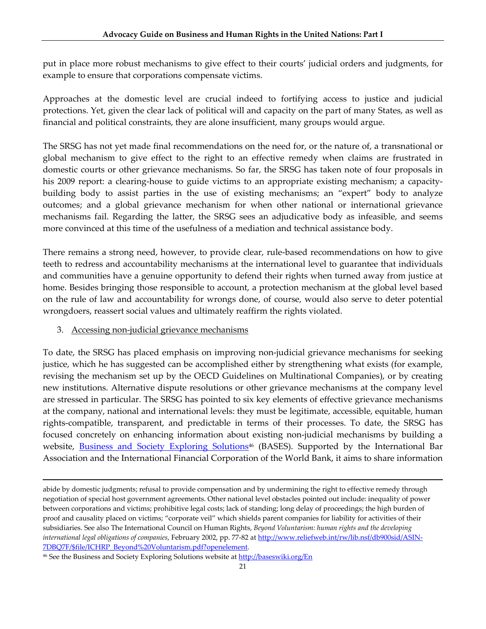put in place more robust mechanisms to give effect to their courts' judicial orders and judgments, for example to ensure that corporations compensate victims.

Approaches at the domestic level are crucial indeed to fortifying access to justice and judicial protections. Yet, given the clear lack of political will and capacity on the part of many States, as well as financial and political constraints, they are alone insufficient, many groups would argue.

The SRSG has not yet made final recommendations on the need for, or the nature of, a transnational or global mechanism to give effect to the right to an effective remedy when claims are frustrated in domestic courts or other grievance mechanisms. So far, the SRSG has taken note of four proposals in his 2009 report: a clearing-house to guide victims to an appropriate existing mechanism; a capacitybuilding body to assist parties in the use of existing mechanisms; an "expert" body to analyze outcomes; and a global grievance mechanism for when other national or international grievance mechanisms fail. Regarding the latter, the SRSG sees an adjudicative body as infeasible, and seems more convinced at this time of the usefulness of a mediation and technical assistance body.

There remains a strong need, however, to provide clear, rule-based recommendations on how to give teeth to redress and accountability mechanisms at the international level to guarantee that individuals and communities have a genuine opportunity to defend their rights when turned away from justice at home. Besides bringing those responsible to account, a protection mechanism at the global level based on the rule of law and accountability for wrongs done, of course, would also serve to deter potential wrongdoers, reassert social values and ultimately reaffirm the rights violated.

#### 3. Accessing non-judicial grievance mechanisms

To date, the SRSG has placed emphasis on improving non‐judicial grievance mechanisms for seeking justice, which he has suggested can be accomplished either by strengthening what exists (for example, revising the mechanism set up by the OECD Guidelines on Multinational Companies), or by creating new institutions. Alternative dispute resolutions or other grievance mechanisms at the company level are stressed in particular. The SRSG has pointed to six key elements of effective grievance mechanisms at the company, national and international levels: they must be legitimate, accessible, equitable, human rights‐compatible, transparent, and predictable in terms of their processes. To date, the SRSG has focused concretely on enhancing information about existing non‐judicial mechanisms by building a website, Business and Society Exploring Solutions<sup>46</sup> (BASES). Supported by the International Bar Association and the International Financial Corporation of the World Bank, it aims to share information

<u> 1989 - Johann Stoff, amerikansk politiker (d. 1989)</u>

abide by domestic judgments; refusal to provide compensation and by undermining the right to effective remedy through negotiation of special host government agreements. Other national level obstacles pointed out include: inequality of power between corporations and victims; prohibitive legal costs; lack of standing; long delay of proceedings; the high burden of proof and causality placed on victims; "corporate veil" which shields parent companies for liability for activities of their subsidiaries. See also The International Council on Human Rights, *Beyond Voluntarism: human rights and the developing international legal obligations of companies*, February 2002, pp. 77‐82 at http://www.reliefweb.int/rw/lib.nsf/db900sid/ASIN‐ 7DBQ7F/\$file/ICHRP\_Beyond%20Voluntarism.pdf?openelement.

<sup>&</sup>lt;sup>46</sup> See the Business and Society Exploring Solutions website at http://baseswiki.org/En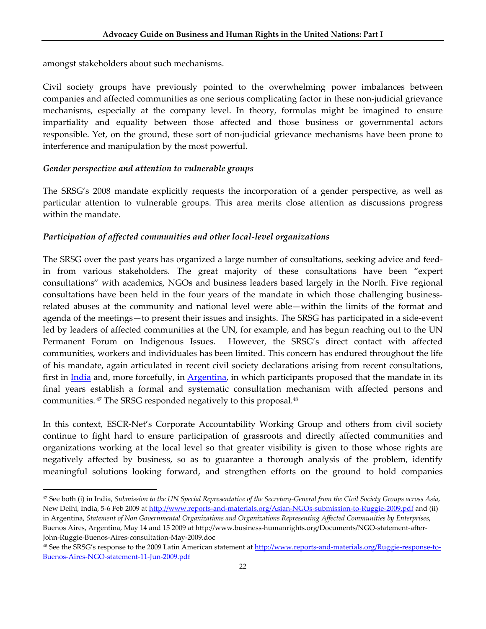amongst stakeholders about such mechanisms.

Civil society groups have previously pointed to the overwhelming power imbalances between companies and affected communities as one serious complicating factor in these non‐judicial grievance mechanisms, especially at the company level. In theory, formulas might be imagined to ensure impartiality and equality between those affected and those business or governmental actors responsible. Yet, on the ground, these sort of non-judicial grievance mechanisms have been prone to interference and manipulation by the most powerful.

#### *Gender perspective and attention to vulnerable groups*

The SRSG's 2008 mandate explicitly requests the incorporation of a gender perspective, as well as particular attention to vulnerable groups. This area merits close attention as discussions progress within the mandate.

#### *Participation of affected communities and other local‐level organizations*

The SRSG over the past years has organized a large number of consultations, seeking advice and feed‐ in from various stakeholders. The great majority of these consultations have been "expert consultations" with academics, NGOs and business leaders based largely in the North. Five regional consultations have been held in the four years of the mandate in which those challenging businessrelated abuses at the community and national level were able—within the limits of the format and agenda of the meetings—to present their issues and insights. The SRSG has participated in a side‐event led by leaders of affected communities at the UN, for example, and has begun reaching out to the UN Permanent Forum on Indigenous Issues. However, the SRSG's direct contact with affected communities, workers and individuales has been limited. This concern has endured throughout the life of his mandate, again articulated in recent civil society declarations arising from recent consultations, first in India and, more forcefully, in Argentina, in which participants proposed that the mandate in its final years establish a formal and systematic consultation mechanism with affected persons and communities. <sup>47</sup> The SRSG responded negatively to this proposal.48

In this context, ESCR‐Net's Corporate Accountability Working Group and others from civil society continue to fight hard to ensure participation of grassroots and directly affected communities and organizations working at the local level so that greater visibility is given to those whose rights are negatively affected by business, so as to guarantee a thorough analysis of the problem, identify meaningful solutions looking forward, and strengthen efforts on the ground to hold companies

<sup>&</sup>lt;sup>47</sup> See both (i) in India, Submission to the UN Special Representative of the Secretary-General from the Civil Society Groups across Asia, New Delhi, India, 5-6 Feb 2009 at http://www.reports-and-materials.org/Asian-NGOs-submission-to-Ruggie-2009.pdf and (ii) in Argentina, *Statement of Non Governmental Organizations and Organizations Representing Affected Communities by Enterprises*, Buenos Aires, Argentina, May 14 and 15 2009 at http://www.business-humanrights.org/Documents/NGO-statement-after-John‐Ruggie‐Buenos‐Aires‐consultation‐May‐2009.doc

<sup>48</sup> See the SRSG's response to the 2009 Latin American statement at http://www.reports-and-materials.org/Ruggie-response-to-Buenos‐Aires‐NGO‐statement‐11‐Jun‐2009.pdf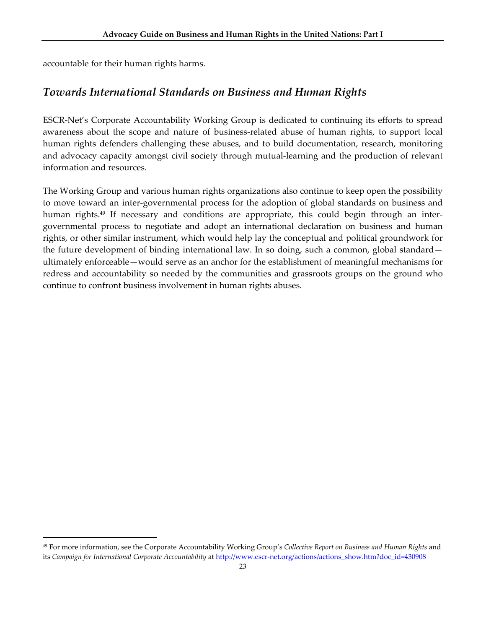accountable for their human rights harms.

## *Towards International Standards on Business and Human Rights*

ESCR‐Net's Corporate Accountability Working Group is dedicated to continuing its efforts to spread awareness about the scope and nature of business-related abuse of human rights, to support local human rights defenders challenging these abuses, and to build documentation, research, monitoring and advocacy capacity amongst civil society through mutual‐learning and the production of relevant information and resources.

The Working Group and various human rights organizations also continue to keep open the possibility to move toward an inter-governmental process for the adoption of global standards on business and human rights.<sup>49</sup> If necessary and conditions are appropriate, this could begin through an intergovernmental process to negotiate and adopt an international declaration on business and human rights, or other similar instrument, which would help lay the conceptual and political groundwork for the future development of binding international law. In so doing, such a common, global standard ultimately enforceable—would serve as an anchor for the establishment of meaningful mechanisms for redress and accountability so needed by the communities and grassroots groups on the ground who continue to confront business involvement in human rights abuses.

<sup>49</sup> For more information, see the Corporate Accountability Working Group's *Collective Report on Business and Human Rights* and its *Campaign for International Corporate Accountability* at http://www.escr-net.org/actions/actions\_show.htm?doc\_id=430908